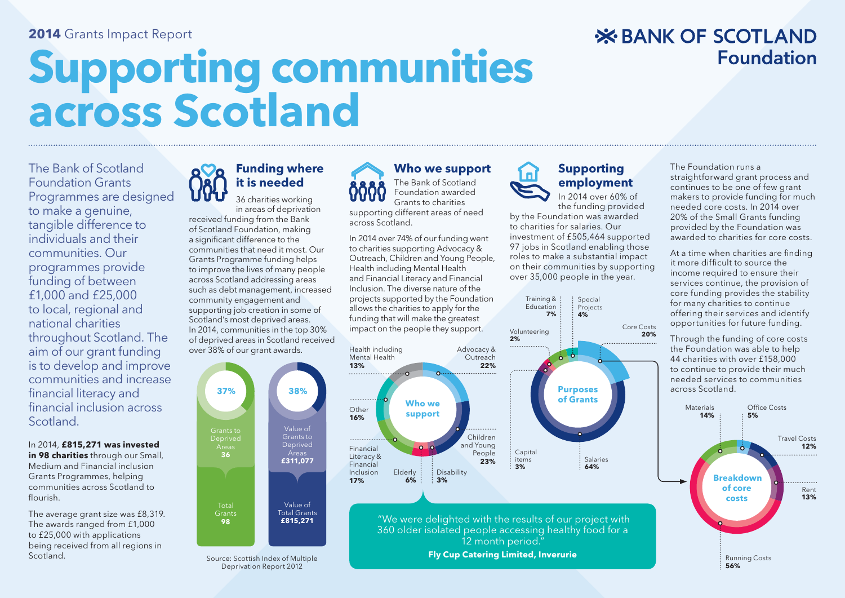#### **2014** Grants Impact Report

# **Supporting communities across Scotland**

#### The Bank of Scotland Foundation Grants Programmes are designed to make a genuine, tangible difference to individuals and their communities. Our programmes provide funding of between £1,000 and £25,000 to local, regional and national charities throughout Scotland. The aim of our grant funding is to develop and improve communities and increase financial literacy and financial inclusion across Scotland.

In 2014, **£815,271 was invested in 98 charities** through our Small, Medium and Financial inclusion Grants Programmes, helping communities across Scotland to flourish

The average grant size was £8,319. The awards ranged from £1,000 to £25,000 with applications being received from all regions in Scotland.



## **Funding where it is needed**

36 charities working in areas of deprivation received funding from the Bank of Scotland Foundation, making a significant difference to the communities that need it most. Our Grants Programme funding helps to improve the lives of many people across Scotland addressing areas such as debt management, increased community engagement and supporting job creation in some of Scotland's most deprived areas. In 2014, communities in the top 30% of deprived areas in Scotland received over 38% of our grant awards.



**Fly Cup Catering Limited, Inverurie** Source: Scottish Index of Multiple Deprivation Report 2012

#### **Who we support**

The Bank of Scotland Foundation awarded Grants to charities supporting different areas of need across Scotland.

In 2014 over 74% of our funding went to charities supporting Advocacy & Outreach, Children and Young People, Health including Mental Health and Financial Literacy and Financial Inclusion. The diverse nature of the projects supported by the Foundation allows the charities to apply for the funding that will make the greatest impact on the people they support.



#### **Supporting employment**  In 2014 over 60% of

the funding provided by the Foundation was awarded to charities for salaries. Our investment of £505,464 supported 97 jobs in Scotland enabling those roles to make a substantial impact on their communities by supporting over 35,000 people in the year.



The Foundation runs a straightforward grant process and continues to be one of few grant makers to provide funding for much needed core costs. In 2014 over 20% of the Small Grants funding provided by the Foundation was awarded to charities for core costs.

**Foundation** 

**X BANK OF SCOTLAND** 

At a time when charities are finding it more difficult to source the income required to ensure their services continue, the provision of core funding provides the stability for many charities to continue offering their services and identify opportunities for future funding.

Through the funding of core costs the Foundation was able to help 44 charities with over £158,000 to continue to provide their much needed services to communities across Scotland.